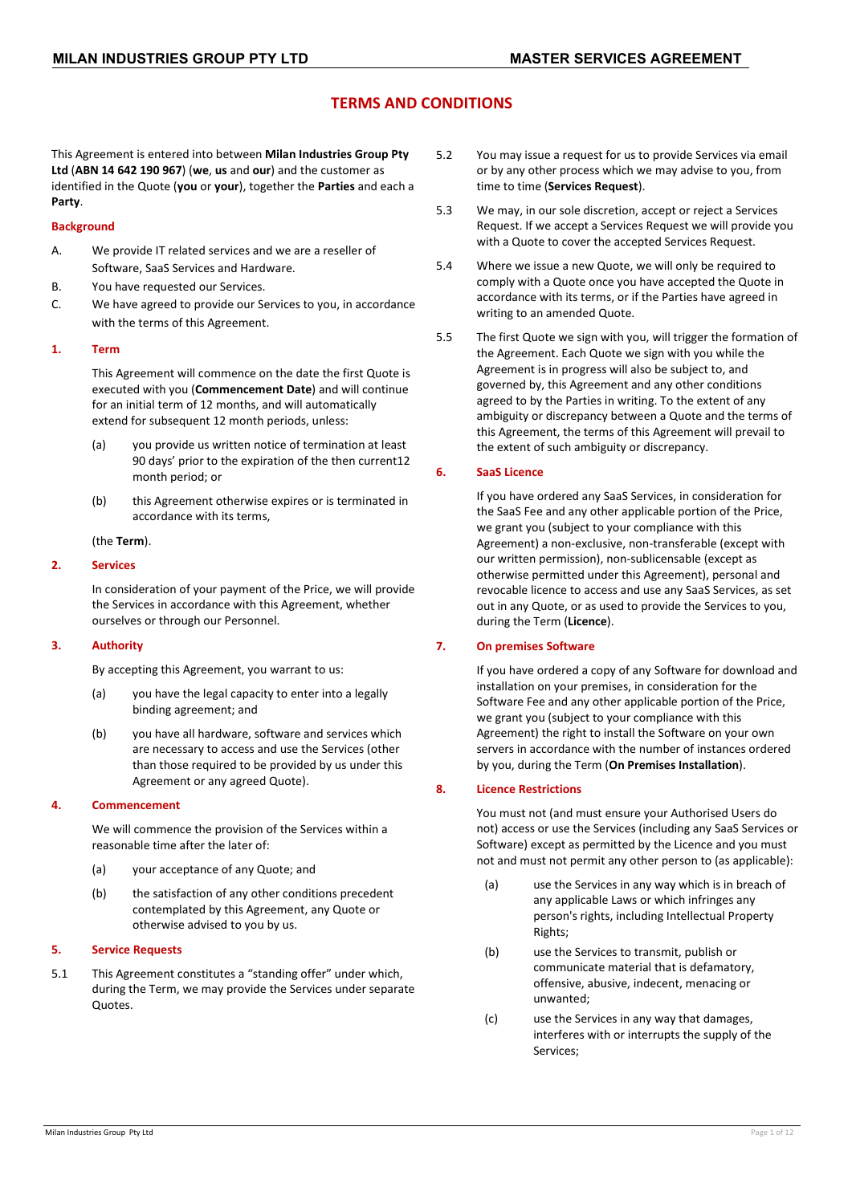# **TERMS AND CONDITIONS**

This Agreement is entered into between **Milan Industries Group Pty Ltd** (**ABN 14 642 190 967**) (**we**, **us** and **our**) and the customer as identified in the Quote (**you** or **your**), together the **Parties** and each a **Party**.

#### **Background**

- A. We provide IT related services and we are a reseller of Software, SaaS Services and Hardware.
- B. You have requested our Services.
- C. We have agreed to provide our Services to you, in accordance with the terms of this Agreement.

### **1. Term**

This Agreement will commence on the date the first Quote is executed with you (**Commencement Date**) and will continue for an initial term of 12 months, and will automatically extend for subsequent 12 month periods, unless:

- (a) you provide us written notice of termination at least 90 days' prior to the expiration of the then current12 month period; or
- (b) this Agreement otherwise expires or is terminated in accordance with its terms,

(the **Term**).

### **2. Services**

In consideration of your payment of the Price, we will provide the Services in accordance with this Agreement, whether ourselves or through our Personnel.

#### **3. Authority**

By accepting this Agreement, you warrant to us:

- (a) you have the legal capacity to enter into a legally binding agreement; and
- (b) you have all hardware, software and services which are necessary to access and use the Services (other than those required to be provided by us under this Agreement or any agreed Quote).

#### **4. Commencement**

We will commence the provision of the Services within a reasonable time after the later of:

- (a) your acceptance of any Quote; and
- (b) the satisfaction of any other conditions precedent contemplated by this Agreement, any Quote or otherwise advised to you by us.

### <span id="page-0-0"></span>**5. Service Requests**

5.1 This Agreement constitutes a "standing offer" under which, during the Term, we may provide the Services under separate Quotes.

- 5.2 You may issue a request for us to provide Services via email or by any other process which we may advise to you, from time to time (**Services Request**).
- 5.3 We may, in our sole discretion, accept or reject a Services Request. If we accept a Services Request we will provide you with a Quote to cover the accepted Services Request.
- 5.4 Where we issue a new Quote, we will only be required to comply with a Quote once you have accepted the Quote in accordance with its terms, or if the Parties have agreed in writing to an amended Quote.
- 5.5 The first Quote we sign with you, will trigger the formation of the Agreement. Each Quote we sign with you while the Agreement is in progress will also be subject to, and governed by, this Agreement and any other conditions agreed to by the Parties in writing. To the extent of any ambiguity or discrepancy between a Quote and the terms of this Agreement, the terms of this Agreement will prevail to the extent of such ambiguity or discrepancy.

### **6. SaaS Licence**

If you have ordered any SaaS Services, in consideration for the SaaS Fee and any other applicable portion of the Price, we grant you (subject to your compliance with this Agreement) a non-exclusive, non-transferable (except with our written permission), non-sublicensable (except as otherwise permitted under this Agreement), personal and revocable licence to access and use any SaaS Services, as set out in any Quote, or as used to provide the Services to you, during the Term (**Licence**).

# **7. On premises Software**

If you have ordered a copy of any Software for download and installation on your premises, in consideration for the Software Fee and any other applicable portion of the Price, we grant you (subject to your compliance with this Agreement) the right to install the Software on your own servers in accordance with the number of instances ordered by you, during the Term (**On Premises Installation**).

#### **8. Licence Restrictions**

You must not (and must ensure your Authorised Users do not) access or use the Services (including any SaaS Services or Software) except as permitted by the Licence and you must not and must not permit any other person to (as applicable):

- (a) use the Services in any way which is in breach of any applicable Laws or which infringes any person's rights, including Intellectual Property Rights;
- (b) use the Services to transmit, publish or communicate material that is defamatory, offensive, abusive, indecent, menacing or unwanted;
- (c) use the Services in any way that damages, interferes with or interrupts the supply of the Services;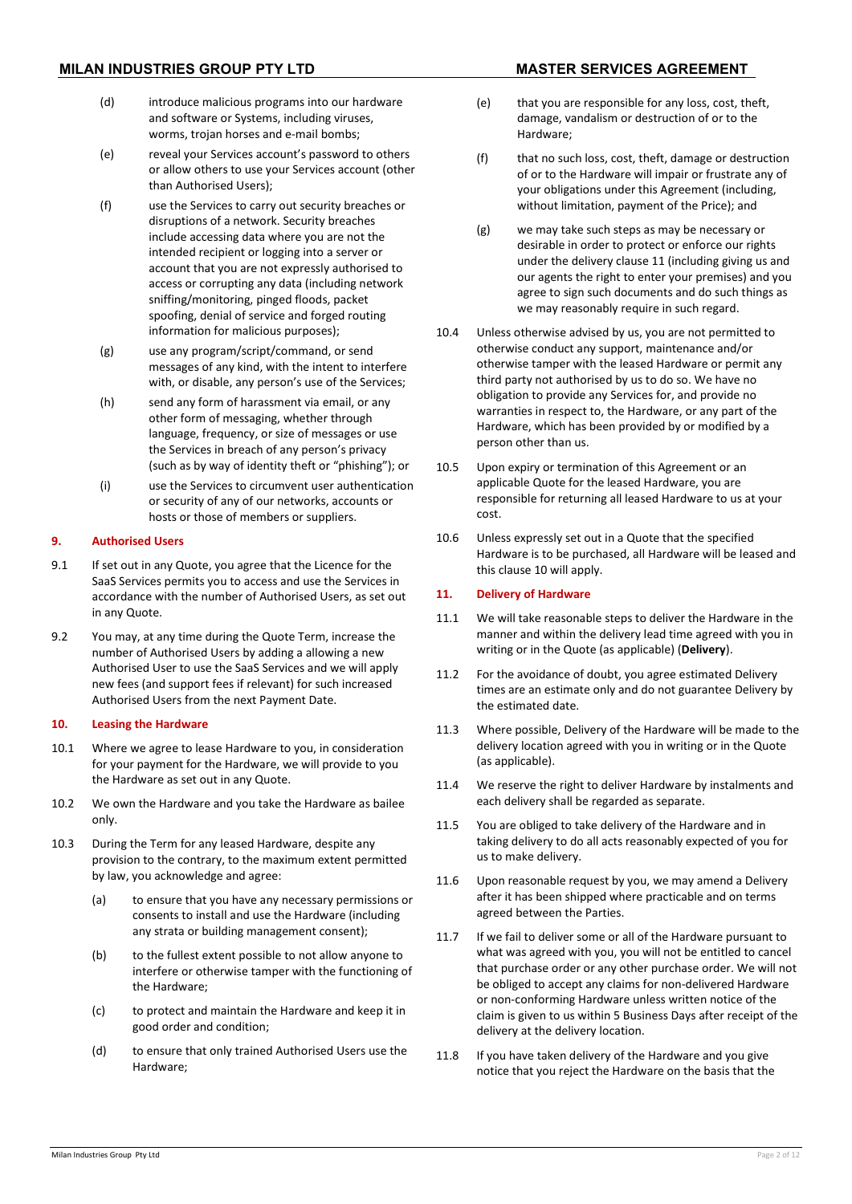- (d) introduce malicious programs into our hardware and software or Systems, including viruses, worms, trojan horses and e-mail bombs;
- (e) reveal your Services account's password to others or allow others to use your Services account (other than Authorised Users);
- (f) use the Services to carry out security breaches or disruptions of a network. Security breaches include accessing data where you are not the intended recipient or logging into a server or account that you are not expressly authorised to access or corrupting any data (including network sniffing/monitoring, pinged floods, packet spoofing, denial of service and forged routing information for malicious purposes);
- (g) use any program/script/command, or send messages of any kind, with the intent to interfere with, or disable, any person's use of the Services;
- (h) send any form of harassment via email, or any other form of messaging, whether through language, frequency, or size of messages or use the Services in breach of any person's privacy (such as by way of identity theft or "phishing"); or
- (i) use the Services to circumvent user authentication or security of any of our networks, accounts or hosts or those of members or suppliers.

# **9. Authorised Users**

- 9.1 If set out in any Quote, you agree that the Licence for the SaaS Services permits you to access and use the Services in accordance with the number of Authorised Users, as set out in any Quote.
- 9.2 You may, at any time during the Quote Term, increase the number of Authorised Users by adding a allowing a new Authorised User to use the SaaS Services and we will apply new fees (and support fees if relevant) for such increased Authorised Users from the next Payment Date.

## <span id="page-1-1"></span>**10. Leasing the Hardware**

- 10.1 Where we agree to lease Hardware to you, in consideration for your payment for the Hardware, we will provide to you the Hardware as set out in any Quote.
- 10.2 We own the Hardware and you take the Hardware as bailee only.
- 10.3 During the Term for any leased Hardware, despite any provision to the contrary, to the maximum extent permitted by law, you acknowledge and agree:
	- (a) to ensure that you have any necessary permissions or consents to install and use the Hardware (including any strata or building management consent);
	- (b) to the fullest extent possible to not allow anyone to interfere or otherwise tamper with the functioning of the Hardware;
	- (c) to protect and maintain the Hardware and keep it in good order and condition;
	- (d) to ensure that only trained Authorised Users use the Hardware;
- (e) that you are responsible for any loss, cost, theft, damage, vandalism or destruction of or to the Hardware;
- (f) that no such loss, cost, theft, damage or destruction of or to the Hardware will impair or frustrate any of your obligations under this Agreement (including, without limitation, payment of the Price); and
- (g) we may take such steps as may be necessary or desirable in order to protect or enforce our rights under the delivery clause [11](#page-1-0) (including giving us and our agents the right to enter your premises) and you agree to sign such documents and do such things as we may reasonably require in such regard.
- 10.4 Unless otherwise advised by us, you are not permitted to otherwise conduct any support, maintenance and/or otherwise tamper with the leased Hardware or permit any third party not authorised by us to do so. We have no obligation to provide any Services for, and provide no warranties in respect to, the Hardware, or any part of the Hardware, which has been provided by or modified by a person other than us.
- 10.5 Upon expiry or termination of this Agreement or an applicable Quote for the leased Hardware, you are responsible for returning all leased Hardware to us at your cost.
- 10.6 Unless expressly set out in a Quote that the specified Hardware is to be purchased, all Hardware will be leased and this claus[e 10](#page-1-1) will apply.

# <span id="page-1-0"></span>**11. Delivery of Hardware**

- 11.1 We will take reasonable steps to deliver the Hardware in the manner and within the delivery lead time agreed with you in writing or in the Quote (as applicable) (**Delivery**).
- 11.2 For the avoidance of doubt, you agree estimated Delivery times are an estimate only and do not guarantee Delivery by the estimated date.
- 11.3 Where possible, Delivery of the Hardware will be made to the delivery location agreed with you in writing or in the Quote (as applicable).
- 11.4 We reserve the right to deliver Hardware by instalments and each delivery shall be regarded as separate.
- 11.5 You are obliged to take delivery of the Hardware and in taking delivery to do all acts reasonably expected of you for us to make delivery.
- 11.6 Upon reasonable request by you, we may amend a Delivery after it has been shipped where practicable and on terms agreed between the Parties.
- 11.7 If we fail to deliver some or all of the Hardware pursuant to what was agreed with you, you will not be entitled to cancel that purchase order or any other purchase order. We will not be obliged to accept any claims for non-delivered Hardware or non-conforming Hardware unless written notice of the claim is given to us within 5 Business Days after receipt of the delivery at the delivery location.
- 11.8 If you have taken delivery of the Hardware and you give notice that you reject the Hardware on the basis that the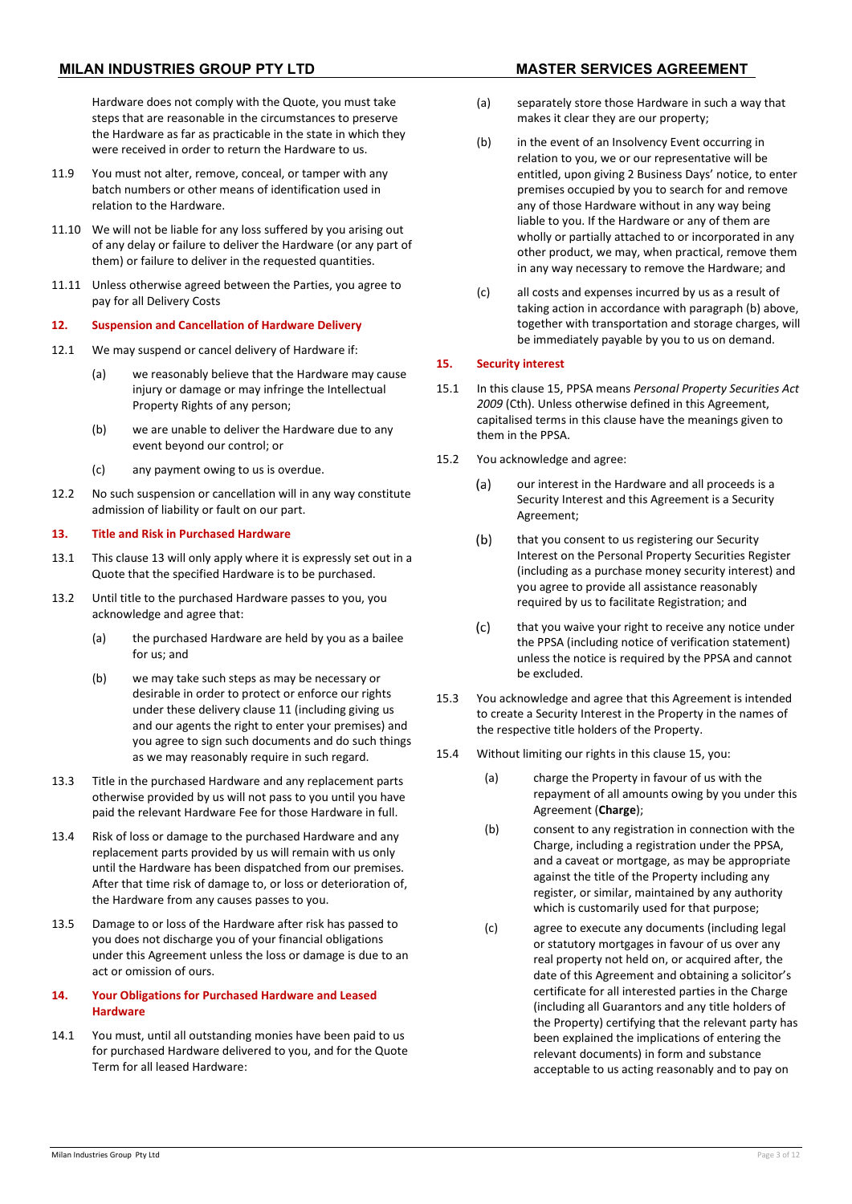Hardware does not comply with the Quote, you must take steps that are reasonable in the circumstances to preserve the Hardware as far as practicable in the state in which they were received in order to return the Hardware to us.

- 11.9 You must not alter, remove, conceal, or tamper with any batch numbers or other means of identification used in relation to the Hardware.
- 11.10 We will not be liable for any loss suffered by you arising out of any delay or failure to deliver the Hardware (or any part of them) or failure to deliver in the requested quantities.
- 11.11 Unless otherwise agreed between the Parties, you agree to pay for all Delivery Costs

#### **12. Suspension and Cancellation of Hardware Delivery**

- 12.1 We may suspend or cancel delivery of Hardware if:
	- (a) we reasonably believe that the Hardware may cause injury or damage or may infringe the Intellectual Property Rights of any person;
	- (b) we are unable to deliver the Hardware due to any event beyond our control; or
	- (c) any payment owing to us is overdue.
- 12.2 No such suspension or cancellation will in any way constitute admission of liability or fault on our part.

### <span id="page-2-0"></span>**13. Title and Risk in Purchased Hardware**

- 13.1 This clause [13](#page-2-0) will only apply where it is expressly set out in a Quote that the specified Hardware is to be purchased.
- 13.2 Until title to the purchased Hardware passes to you, you acknowledge and agree that:
	- (a) the purchased Hardware are held by you as a bailee for us; and
	- (b) we may take such steps as may be necessary or desirable in order to protect or enforce our rights under these delivery clause [11](#page-1-0) (including giving us and our agents the right to enter your premises) and you agree to sign such documents and do such things as we may reasonably require in such regard.
- 13.3 Title in the purchased Hardware and any replacement parts otherwise provided by us will not pass to you until you have paid the relevant Hardware Fee for those Hardware in full.
- 13.4 Risk of loss or damage to the purchased Hardware and any replacement parts provided by us will remain with us only until the Hardware has been dispatched from our premises. After that time risk of damage to, or loss or deterioration of, the Hardware from any causes passes to you.
- 13.5 Damage to or loss of the Hardware after risk has passed to you does not discharge you of your financial obligations under this Agreement unless the loss or damage is due to an act or omission of ours.

# **14. Your Obligations for Purchased Hardware and Leased Hardware**

14.1 You must, until all outstanding monies have been paid to us for purchased Hardware delivered to you, and for the Quote Term for all leased Hardware:

- (a) separately store those Hardware in such a way that makes it clear they are our property;
- (b) in the event of an Insolvency Event occurring in relation to you, we or our representative will be entitled, upon giving 2 Business Days' notice, to enter premises occupied by you to search for and remove any of those Hardware without in any way being liable to you. If the Hardware or any of them are wholly or partially attached to or incorporated in any other product, we may, when practical, remove them in any way necessary to remove the Hardware; and
- (c) all costs and expenses incurred by us as a result of taking action in accordance with paragraph (b) above, together with transportation and storage charges, will be immediately payable by you to us on demand.

# <span id="page-2-1"></span>**15. Security interest**

- 15.1 In this claus[e 15,](#page-2-1) PPSA means *Personal Property Securities Act 2009* (Cth). Unless otherwise defined in this Agreement, capitalised terms in this clause have the meanings given to them in the PPSA.
- 15.2 You acknowledge and agree:
	- our interest in the Hardware and all proceeds is a  $(a)$ Security Interest and this Agreement is a Security Agreement;
	- $(b)$ that you consent to us registering our Security Interest on the Personal Property Securities Register (including as a purchase money security interest) and you agree to provide all assistance reasonably required by us to facilitate Registration; and
	- $(c)$ that you waive your right to receive any notice under the PPSA (including notice of verification statement) unless the notice is required by the PPSA and cannot be excluded.
- 15.3 You acknowledge and agree that this Agreement is intended to create a Security Interest in the Property in the names of the respective title holders of the Property.
- 15.4 Without limiting our rights in this claus[e 15,](#page-2-1) you:
	- (a) charge the Property in favour of us with the repayment of all amounts owing by you under this Agreement (**Charge**);
	- (b) consent to any registration in connection with the Charge, including a registration under the PPSA, and a caveat or mortgage, as may be appropriate against the title of the Property including any register, or similar, maintained by any authority which is customarily used for that purpose;
	- (c) agree to execute any documents (including legal or statutory mortgages in favour of us over any real property not held on, or acquired after, the date of this Agreement and obtaining a solicitor's certificate for all interested parties in the Charge (including all Guarantors and any title holders of the Property) certifying that the relevant party has been explained the implications of entering the relevant documents) in form and substance acceptable to us acting reasonably and to pay on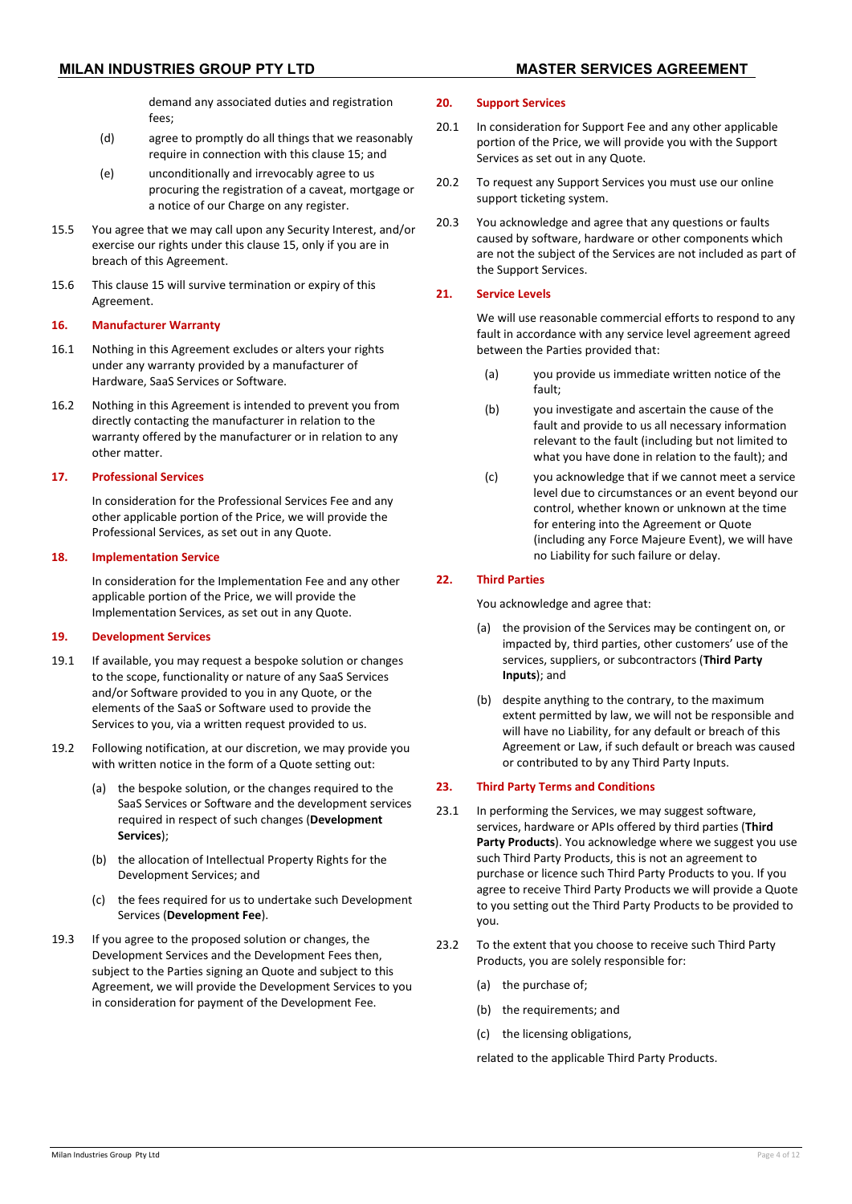demand any associated duties and registration  $f_{\text{PBC}}$ 

- (d) agree to promptly do all things that we reasonably require in connection with this claus[e 15;](#page-2-1) and
- (e) unconditionally and irrevocably agree to us procuring the registration of a caveat, mortgage or a notice of our Charge on any register.
- 15.5 You agree that we may call upon any Security Interest, and/or exercise our rights under this clause [15,](#page-2-1) only if you are in breach of this Agreement.
- 15.6 This clause [15](#page-2-1) will survive termination or expiry of this Agreement.

### **16. Manufacturer Warranty**

- 16.1 Nothing in this Agreement excludes or alters your rights under any warranty provided by a manufacturer of Hardware, SaaS Services or Software.
- 16.2 Nothing in this Agreement is intended to prevent you from directly contacting the manufacturer in relation to the warranty offered by the manufacturer or in relation to any other matter.

### **17. Professional Services**

In consideration for the Professional Services Fee and any other applicable portion of the Price, we will provide the Professional Services, as set out in any Quote.

# **18. Implementation Service**

In consideration for the Implementation Fee and any other applicable portion of the Price, we will provide the Implementation Services, as set out in any Quote.

#### **19. Development Services**

- 19.1 If available, you may request a bespoke solution or changes to the scope, functionality or nature of any SaaS Services and/or Software provided to you in any Quote, or the elements of the SaaS or Software used to provide the Services to you, via a written request provided to us.
- <span id="page-3-1"></span>19.2 Following notification, at our discretion, we may provide you with written notice in the form of a Quote setting out:
	- (a) the bespoke solution, or the changes required to the SaaS Services or Software and the development services required in respect of such changes (**Development Services**);
	- (b) the allocation of Intellectual Property Rights for the Development Services; and
	- (c) the fees required for us to undertake such Development Services (**Development Fee**).
- 19.3 If you agree to the proposed solution or changes, the Development Services and the Development Fees then, subject to the Parties signing an Quote and subject to this Agreement, we will provide the Development Services to you in consideration for payment of the Development Fee.

### **20. Support Services**

- 20.1 In consideration for Support Fee and any other applicable portion of the Price, we will provide you with the Support Services as set out in any Quote.
- 20.2 To request any Support Services you must use our online support ticketing system.
- 20.3 You acknowledge and agree that any questions or faults caused by software, hardware or other components which are not the subject of the Services are not included as part of the Support Services.

### **21. Service Levels**

We will use reasonable commercial efforts to respond to any fault in accordance with any service level agreement agreed between the Parties provided that:

- (a) you provide us immediate written notice of the fault;
- (b) you investigate and ascertain the cause of the fault and provide to us all necessary information relevant to the fault (including but not limited to what you have done in relation to the fault); and
- (c) you acknowledge that if we cannot meet a service level due to circumstances or an event beyond our control, whether known or unknown at the time for entering into the Agreement or Quote (including any Force Majeure Event), we will have no Liability for such failure or delay.

# **22. Third Parties**

You acknowledge and agree that:

- (a) the provision of the Services may be contingent on, or impacted by, third parties, other customers' use of the services, suppliers, or subcontractors (**Third Party Inputs**); and
- (b) despite anything to the contrary, to the maximum extent permitted by law, we will not be responsible and will have no Liability, for any default or breach of this Agreement or Law, if such default or breach was caused or contributed to by any Third Party Inputs.

# **23. Third Party Terms and Conditions**

- 23.1 In performing the Services, we may suggest software. services, hardware or APIs offered by third parties (**Third Party Products**). You acknowledge where we suggest you use such Third Party Products, this is not an agreement to purchase or licence such Third Party Products to you. If you agree to receive Third Party Products we will provide a Quote to you setting out the Third Party Products to be provided to you.
- <span id="page-3-0"></span>23.2 To the extent that you choose to receive such Third Party Products, you are solely responsible for:
	- (a) the purchase of;
	- (b) the requirements; and
	- (c) the licensing obligations,

related to the applicable Third Party Products.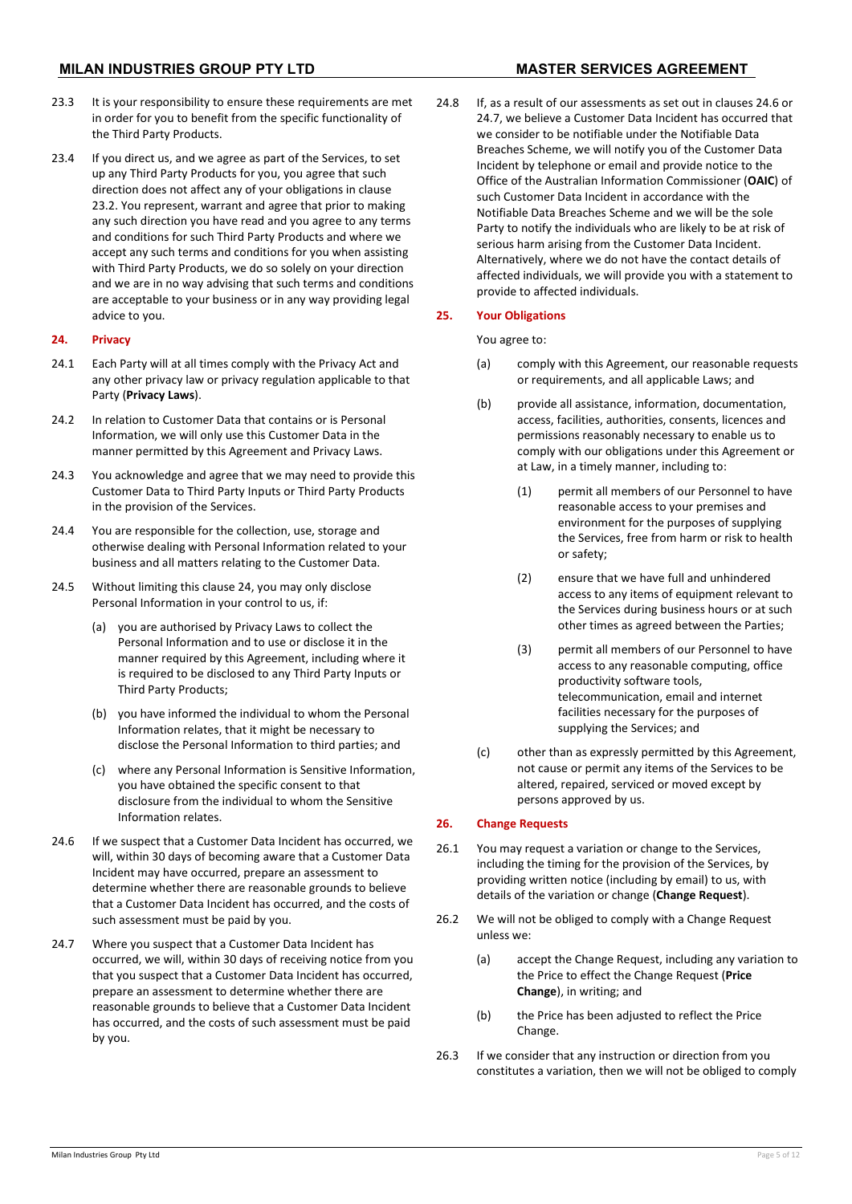# **MILAN INDUSTRIES GROUP PTY LTD MASTER SERVICES AGREEMENT**

- 23.3 It is your responsibility to ensure these requirements are met in order for you to benefit from the specific functionality of the Third Party Products.
- 23.4 If you direct us, and we agree as part of the Services, to set up any Third Party Products for you, you agree that such direction does not affect any of your obligations in clause [23.2.](#page-3-0) You represent, warrant and agree that prior to making any such direction you have read and you agree to any terms and conditions for such Third Party Products and where we accept any such terms and conditions for you when assisting with Third Party Products, we do so solely on your direction and we are in no way advising that such terms and conditions are acceptable to your business or in any way providing legal advice to you.

### <span id="page-4-0"></span>**24. Privacy**

- 24.1 Each Party will at all times comply with the Privacy Act and any other privacy law or privacy regulation applicable to that Party (**Privacy Laws**).
- 24.2 In relation to Customer Data that contains or is Personal Information, we will only use this Customer Data in the manner permitted by this Agreement and Privacy Laws.
- 24.3 You acknowledge and agree that we may need to provide this Customer Data to Third Party Inputs or Third Party Products in the provision of the Services.
- 24.4 You are responsible for the collection, use, storage and otherwise dealing with Personal Information related to your business and all matters relating to the Customer Data.
- 24.5 Without limiting this claus[e 24,](#page-4-0) you may only disclose Personal Information in your control to us, if:
	- (a) you are authorised by Privacy Laws to collect the Personal Information and to use or disclose it in the manner required by this Agreement, including where it is required to be disclosed to any Third Party Inputs or Third Party Products;
	- (b) you have informed the individual to whom the Personal Information relates, that it might be necessary to disclose the Personal Information to third parties; and
	- (c) where any Personal Information is Sensitive Information, you have obtained the specific consent to that disclosure from the individual to whom the Sensitive Information relates.
- <span id="page-4-1"></span>24.6 If we suspect that a Customer Data Incident has occurred, we will, within 30 days of becoming aware that a Customer Data Incident may have occurred, prepare an assessment to determine whether there are reasonable grounds to believe that a Customer Data Incident has occurred, and the costs of such assessment must be paid by you.
- <span id="page-4-2"></span>24.7 Where you suspect that a Customer Data Incident has occurred, we will, within 30 days of receiving notice from you that you suspect that a Customer Data Incident has occurred, prepare an assessment to determine whether there are reasonable grounds to believe that a Customer Data Incident has occurred, and the costs of such assessment must be paid by you.

24.8 If, as a result of our assessments as set out in clause[s 24.6](#page-4-1) or [24.7,](#page-4-2) we believe a Customer Data Incident has occurred that we consider to be notifiable under the Notifiable Data Breaches Scheme, we will notify you of the Customer Data Incident by telephone or email and provide notice to the Office of the Australian Information Commissioner (**OAIC**) of such Customer Data Incident in accordance with the Notifiable Data Breaches Scheme and we will be the sole Party to notify the individuals who are likely to be at risk of serious harm arising from the Customer Data Incident. Alternatively, where we do not have the contact details of affected individuals, we will provide you with a statement to provide to affected individuals.

### **25. Your Obligations**

You agree to:

- (a) comply with this Agreement, our reasonable requests or requirements, and all applicable Laws; and
- (b) provide all assistance, information, documentation, access, facilities, authorities, consents, licences and permissions reasonably necessary to enable us to comply with our obligations under this Agreement or at Law, in a timely manner, including to:
	- (1) permit all members of our Personnel to have reasonable access to your premises and environment for the purposes of supplying the Services, free from harm or risk to health or safety;
	- (2) ensure that we have full and unhindered access to any items of equipment relevant to the Services during business hours or at such other times as agreed between the Parties;
	- (3) permit all members of our Personnel to have access to any reasonable computing, office productivity software tools, telecommunication, email and internet facilities necessary for the purposes of supplying the Services; and
- (c) other than as expressly permitted by this Agreement, not cause or permit any items of the Services to be altered, repaired, serviced or moved except by persons approved by us.

### <span id="page-4-3"></span>**26. Change Requests**

- 26.1 You may request a variation or change to the Services, including the timing for the provision of the Services, by providing written notice (including by email) to us, with details of the variation or change (**Change Request**).
- 26.2 We will not be obliged to comply with a Change Request unless we:
	- (a) accept the Change Request, including any variation to the Price to effect the Change Request (**Price Change**), in writing; and
	- (b) the Price has been adjusted to reflect the Price Change.
- 26.3 If we consider that any instruction or direction from you constitutes a variation, then we will not be obliged to comply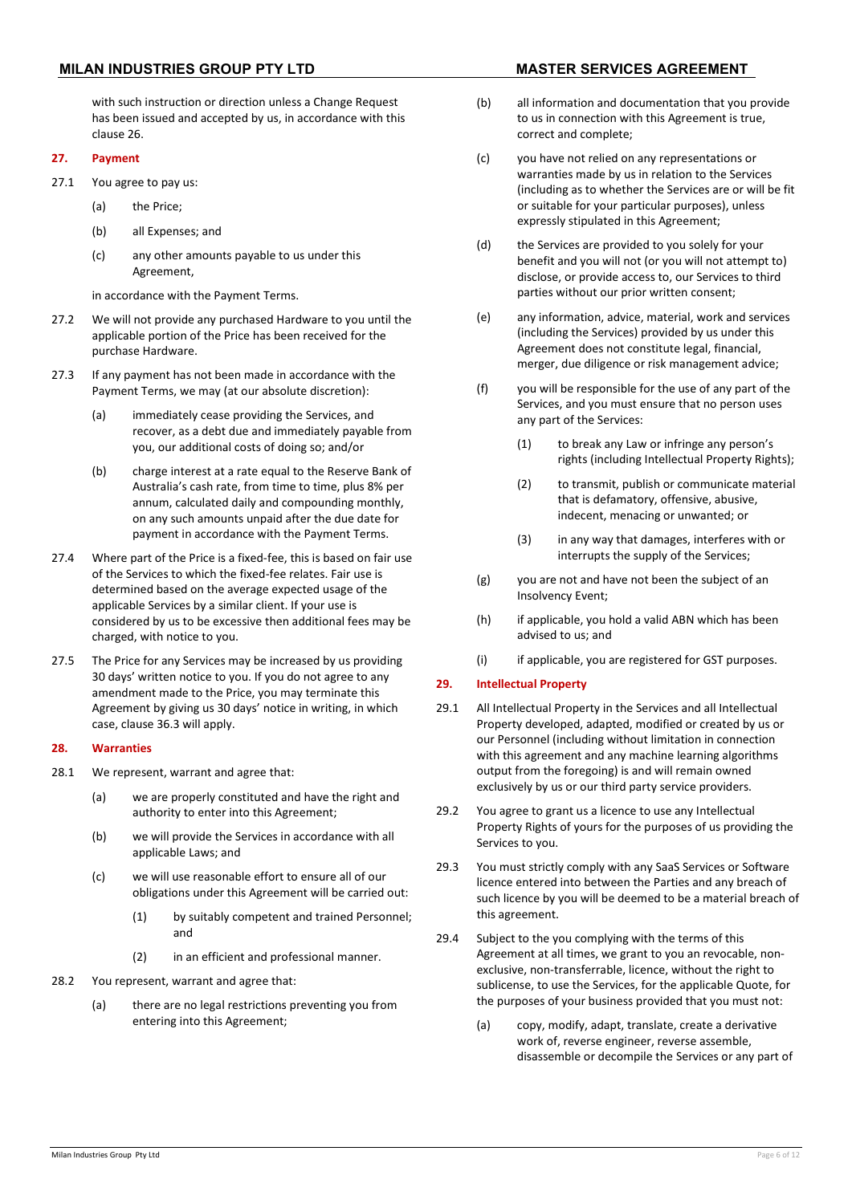# **MILAN INDUSTRIES GROUP PTY LTD MASTER SERVICES AGREEMENT**

#### with such instruction or direction unless a Change Request has been issued and accepted by us, in accordance with this claus[e 26.](#page-4-3)

#### **27. Payment**

- 27.1 You agree to pay us:
	- (a) the Price;
	- (b) all Expenses; and
	- (c) any other amounts payable to us under this Agreement,

in accordance with the Payment Terms.

- 27.2 We will not provide any purchased Hardware to you until the applicable portion of the Price has been received for the purchase Hardware.
- 27.3 If any payment has not been made in accordance with the Payment Terms, we may (at our absolute discretion):
	- (a) immediately cease providing the Services, and recover, as a debt due and immediately payable from you, our additional costs of doing so; and/or
	- (b) charge interest at a rate equal to the Reserve Bank of Australia's cash rate, from time to time, plus 8% per annum, calculated daily and compounding monthly, on any such amounts unpaid after the due date for payment in accordance with the Payment Terms.
- 27.4 Where part of the Price is a fixed-fee, this is based on fair use of the Services to which the fixed-fee relates. Fair use is determined based on the average expected usage of the applicable Services by a similar client. If your use is considered by us to be excessive then additional fees may be charged, with notice to you.
- 27.5 The Price for any Services may be increased by us providing 30 days' written notice to you. If you do not agree to any amendment made to the Price, you may terminate this Agreement by giving us 30 days' notice in writing, in which case, claus[e 36.3](#page-8-0) will apply.

#### **28. Warranties**

- 28.1 We represent, warrant and agree that:
	- (a) we are properly constituted and have the right and authority to enter into this Agreement;
	- (b) we will provide the Services in accordance with all applicable Laws; and
	- (c) we will use reasonable effort to ensure all of our obligations under this Agreement will be carried out:
		- (1) by suitably competent and trained Personnel; and
		- (2) in an efficient and professional manner.
- 28.2 You represent, warrant and agree that:
	- (a) there are no legal restrictions preventing you from entering into this Agreement;

- (b) all information and documentation that you provide to us in connection with this Agreement is true, correct and complete;
- (c) you have not relied on any representations or warranties made by us in relation to the Services (including as to whether the Services are or will be fit or suitable for your particular purposes), unless expressly stipulated in this Agreement;
- (d) the Services are provided to you solely for your benefit and you will not (or you will not attempt to) disclose, or provide access to, our Services to third parties without our prior written consent;
- (e) any information, advice, material, work and services (including the Services) provided by us under this Agreement does not constitute legal, financial, merger, due diligence or risk management advice;
- (f) you will be responsible for the use of any part of the Services, and you must ensure that no person uses any part of the Services:
	- (1) to break any Law or infringe any person's rights (including Intellectual Property Rights);
	- (2) to transmit, publish or communicate material that is defamatory, offensive, abusive, indecent, menacing or unwanted; or
	- (3) in any way that damages, interferes with or interrupts the supply of the Services;
- (g) you are not and have not been the subject of an Insolvency Event;
- (h) if applicable, you hold a valid ABN which has been advised to us; and
- (i) if applicable, you are registered for GST purposes.

# **29. Intellectual Property**

- 29.1 All Intellectual Property in the Services and all Intellectual Property developed, adapted, modified or created by us or our Personnel (including without limitation in connection with this agreement and any machine learning algorithms output from the foregoing) is and will remain owned exclusively by us or our third party service providers.
- 29.2 You agree to grant us a licence to use any Intellectual Property Rights of yours for the purposes of us providing the Services to you.
- 29.3 You must strictly comply with any SaaS Services or Software licence entered into between the Parties and any breach of such licence by you will be deemed to be a material breach of this agreement.
- <span id="page-5-0"></span>29.4 Subject to the you complying with the terms of this Agreement at all times, we grant to you an revocable, nonexclusive, non-transferrable, licence, without the right to sublicense, to use the Services, for the applicable Quote, for the purposes of your business provided that you must not:
	- (a) copy, modify, adapt, translate, create a derivative work of, reverse engineer, reverse assemble, disassemble or decompile the Services or any part of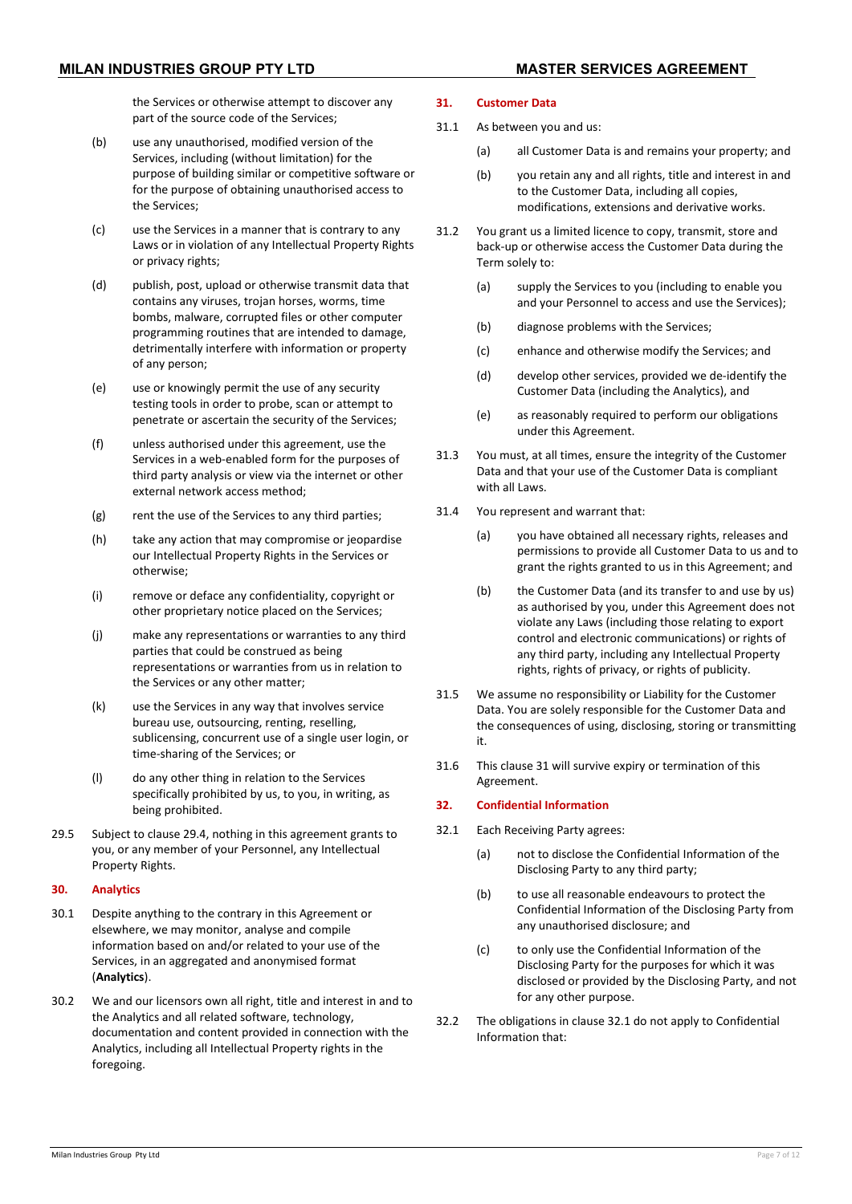the Services or otherwise attempt to discover any part of the source code of the Services;

- (b) use any unauthorised, modified version of the Services, including (without limitation) for the purpose of building similar or competitive software or for the purpose of obtaining unauthorised access to the Services;
- (c) use the Services in a manner that is contrary to any Laws or in violation of any Intellectual Property Rights or privacy rights;
- (d) publish, post, upload or otherwise transmit data that contains any viruses, trojan horses, worms, time bombs, malware, corrupted files or other computer programming routines that are intended to damage, detrimentally interfere with information or property of any person;
- (e) use or knowingly permit the use of any security testing tools in order to probe, scan or attempt to penetrate or ascertain the security of the Services;
- (f) unless authorised under this agreement, use the Services in a web-enabled form for the purposes of third party analysis or view via the internet or other external network access method;
- (g) rent the use of the Services to any third parties;
- (h) take any action that may compromise or jeopardise our Intellectual Property Rights in the Services or otherwise;
- (i) remove or deface any confidentiality, copyright or other proprietary notice placed on the Services;
- (j) make any representations or warranties to any third parties that could be construed as being representations or warranties from us in relation to the Services or any other matter;
- (k) use the Services in any way that involves service bureau use, outsourcing, renting, reselling, sublicensing, concurrent use of a single user login, or time-sharing of the Services; or
- (l) do any other thing in relation to the Services specifically prohibited by us, to you, in writing, as being prohibited.
- 29.5 Subject to claus[e 29.4,](#page-5-0) nothing in this agreement grants to you, or any member of your Personnel, any Intellectual Property Rights.

#### **30. Analytics**

- 30.1 Despite anything to the contrary in this Agreement or elsewhere, we may monitor, analyse and compile information based on and/or related to your use of the Services, in an aggregated and anonymised format (**Analytics**).
- 30.2 We and our licensors own all right, title and interest in and to the Analytics and all related software, technology, documentation and content provided in connection with the Analytics, including all Intellectual Property rights in the foregoing.

#### <span id="page-6-0"></span>**31. Customer Data**

- 31.1 As between you and us:
	- (a) all Customer Data is and remains your property; and
	- (b) you retain any and all rights, title and interest in and to the Customer Data, including all copies, modifications, extensions and derivative works.
- 31.2 You grant us a limited licence to copy, transmit, store and back-up or otherwise access the Customer Data during the Term solely to:
	- (a) supply the Services to you (including to enable you and your Personnel to access and use the Services);
	- (b) diagnose problems with the Services;
	- (c) enhance and otherwise modify the Services; and
	- (d) develop other services, provided we de-identify the Customer Data (including the Analytics), and
	- (e) as reasonably required to perform our obligations under this Agreement.
- 31.3 You must, at all times, ensure the integrity of the Customer Data and that your use of the Customer Data is compliant with all Laws.
- 31.4 You represent and warrant that:
	- (a) you have obtained all necessary rights, releases and permissions to provide all Customer Data to us and to grant the rights granted to us in this Agreement; and
	- (b) the Customer Data (and its transfer to and use by us) as authorised by you, under this Agreement does not violate any Laws (including those relating to export control and electronic communications) or rights of any third party, including any Intellectual Property rights, rights of privacy, or rights of publicity.
- 31.5 We assume no responsibility or Liability for the Customer Data. You are solely responsible for the Customer Data and the consequences of using, disclosing, storing or transmitting it.
- 31.6 This clause [31](#page-6-0) will survive expiry or termination of this Agreement.

#### <span id="page-6-2"></span>**32. Confidential Information**

- <span id="page-6-1"></span>32.1 Each Receiving Party agrees:
	- (a) not to disclose the Confidential Information of the Disclosing Party to any third party;
	- (b) to use all reasonable endeavours to protect the Confidential Information of the Disclosing Party from any unauthorised disclosure; and
	- (c) to only use the Confidential Information of the Disclosing Party for the purposes for which it was disclosed or provided by the Disclosing Party, and not for any other purpose.
- 32.2 The obligations in clause [32.1](#page-6-1) do not apply to Confidential Information that: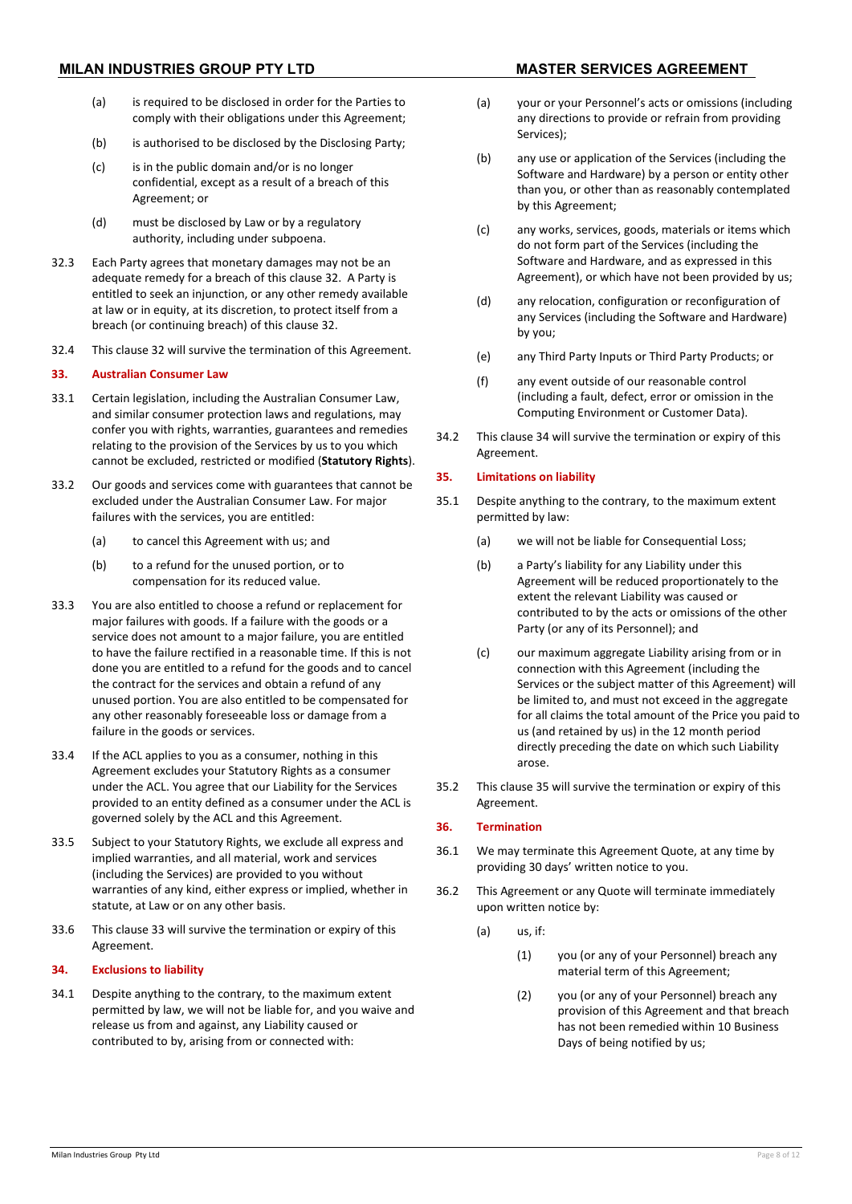- (a) is required to be disclosed in order for the Parties to comply with their obligations under this Agreement;
- (b) is authorised to be disclosed by the Disclosing Party;
- (c) is in the public domain and/or is no longer confidential, except as a result of a breach of this Agreement; or
- (d) must be disclosed by Law or by a regulatory authority, including under subpoena.
- 32.3 Each Party agrees that monetary damages may not be an adequate remedy for a breach of this claus[e 32.](#page-6-2) A Party is entitled to seek an injunction, or any other remedy available at law or in equity, at its discretion, to protect itself from a breach (or continuing breach) of this clause [32.](#page-6-2)
- 32.4 This clause [32](#page-6-2) will survive the termination of this Agreement.

# <span id="page-7-0"></span>**33. Australian Consumer Law**

- 33.1 Certain legislation, including the Australian Consumer Law, and similar consumer protection laws and regulations, may confer you with rights, warranties, guarantees and remedies relating to the provision of the Services by us to you which cannot be excluded, restricted or modified (**Statutory Rights**).
- 33.2 Our goods and services come with guarantees that cannot be excluded under the Australian Consumer Law. For major failures with the services, you are entitled:
	- (a) to cancel this Agreement with us; and
	- (b) to a refund for the unused portion, or to compensation for its reduced value.
- 33.3 You are also entitled to choose a refund or replacement for major failures with goods. If a failure with the goods or a service does not amount to a major failure, you are entitled to have the failure rectified in a reasonable time. If this is not done you are entitled to a refund for the goods and to cancel the contract for the services and obtain a refund of any unused portion. You are also entitled to be compensated for any other reasonably foreseeable loss or damage from a failure in the goods or services.
- 33.4 If the ACL applies to you as a consumer, nothing in this Agreement excludes your Statutory Rights as a consumer under the ACL. You agree that our Liability for the Services provided to an entity defined as a consumer under the ACL is governed solely by the ACL and this Agreement.
- 33.5 Subject to your Statutory Rights, we exclude all express and implied warranties, and all material, work and services (including the Services) are provided to you without warranties of any kind, either express or implied, whether in statute, at Law or on any other basis.
- 33.6 This clause [33](#page-7-0) will survive the termination or expiry of this Agreement.

# <span id="page-7-1"></span>**34. Exclusions to liability**

34.1 Despite anything to the contrary, to the maximum extent permitted by law, we will not be liable for, and you waive and release us from and against, any Liability caused or contributed to by, arising from or connected with:

- (a) your or your Personnel's acts or omissions (including any directions to provide or refrain from providing Services);
- (b) any use or application of the Services (including the Software and Hardware) by a person or entity other than you, or other than as reasonably contemplated by this Agreement;
- (c) any works, services, goods, materials or items which do not form part of the Services (including the Software and Hardware, and as expressed in this Agreement), or which have not been provided by us;
- (d) any relocation, configuration or reconfiguration of any Services (including the Software and Hardware) by you;
- (e) any Third Party Inputs or Third Party Products; or
- (f) any event outside of our reasonable control (including a fault, defect, error or omission in the Computing Environment or Customer Data).
- 34.2 This clause [34](#page-7-1) will survive the termination or expiry of this Agreement.

### <span id="page-7-2"></span>**35. Limitations on liability**

- 35.1 Despite anything to the contrary, to the maximum extent permitted by law:
	- (a) we will not be liable for Consequential Loss;
	- (b) a Party's liability for any Liability under this Agreement will be reduced proportionately to the extent the relevant Liability was caused or contributed to by the acts or omissions of the other Party (or any of its Personnel); and
	- (c) our maximum aggregate Liability arising from or in connection with this Agreement (including the Services or the subject matter of this Agreement) will be limited to, and must not exceed in the aggregate for all claims the total amount of the Price you paid to us (and retained by us) in the 12 month period directly preceding the date on which such Liability arose
- 35.2 This clause [35](#page-7-2) will survive the termination or expiry of this Agreement.

# <span id="page-7-6"></span>**36. Termination**

- <span id="page-7-3"></span>36.1 We may terminate this Agreement Quote, at any time by providing 30 days' written notice to you.
- <span id="page-7-5"></span><span id="page-7-4"></span>36.2 This Agreement or any Quote will terminate immediately upon written notice by:
	- (a) us, if:
		- (1) you (or any of your Personnel) breach any material term of this Agreement;
		- (2) you (or any of your Personnel) breach any provision of this Agreement and that breach has not been remedied within 10 Business Days of being notified by us;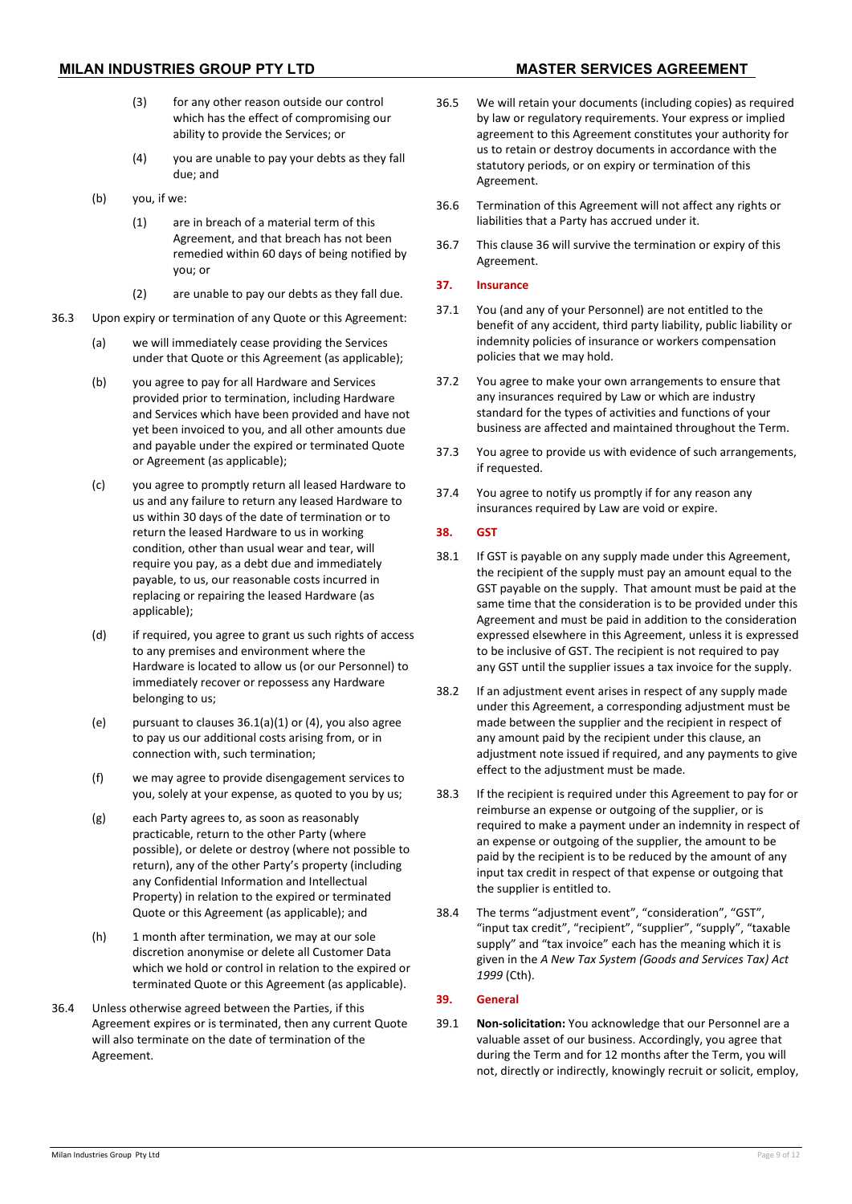- (3) for any other reason outside our control which has the effect of compromising our ability to provide the Services; or
- (4) you are unable to pay your debts as they fall due; and
- <span id="page-8-1"></span>(b) you, if we:
	- (1) are in breach of a material term of this Agreement, and that breach has not been remedied within 60 days of being notified by you; or
	- (2) are unable to pay our debts as they fall due.
- <span id="page-8-0"></span>36.3 Upon expiry or termination of any Quote or this Agreement:
	- (a) we will immediately cease providing the Services under that Quote or this Agreement (as applicable);
	- (b) you agree to pay for all Hardware and Services provided prior to termination, including Hardware and Services which have been provided and have not yet been invoiced to you, and all other amounts due and payable under the expired or terminated Quote or Agreement (as applicable);
	- (c) you agree to promptly return all leased Hardware to us and any failure to return any leased Hardware to us within 30 days of the date of termination or to return the leased Hardware to us in working condition, other than usual wear and tear, will require you pay, as a debt due and immediately payable, to us, our reasonable costs incurred in replacing or repairing the leased Hardware (as applicable);
	- (d) if required, you agree to grant us such rights of access to any premises and environment where the Hardware is located to allow us (or our Personnel) to immediately recover or repossess any Hardware belonging to us;
	- (e) pursuant to clauses  $36.1(a)(1)$  $36.1(a)(1)$  $36.1(a)(1)$  or  $(4)$ , you also agree to pay us our additional costs arising from, or in connection with, such termination;
	- (f) we may agree to provide disengagement services to you, solely at your expense, as quoted to you by us;
	- (g) each Party agrees to, as soon as reasonably practicable, return to the other Party (where possible), or delete or destroy (where not possible to return), any of the other Party's property (including any Confidential Information and Intellectual Property) in relation to the expired or terminated Quote or this Agreement (as applicable); and
	- (h) 1 month after termination, we may at our sole discretion anonymise or delete all Customer Data which we hold or control in relation to the expired or terminated Quote or this Agreement (as applicable).
- 36.4 Unless otherwise agreed between the Parties, if this Agreement expires or is terminated, then any current Quote will also terminate on the date of termination of the Agreement.
- 36.5 We will retain your documents (including copies) as required by law or regulatory requirements. Your express or implied agreement to this Agreement constitutes your authority for us to retain or destroy documents in accordance with the statutory periods, or on expiry or termination of this Agreement.
- 36.6 Termination of this Agreement will not affect any rights or liabilities that a Party has accrued under it.
- 36.7 This clause [36](#page-7-6) will survive the termination or expiry of this Agreement.

### **37. Insurance**

- 37.1 You (and any of your Personnel) are not entitled to the benefit of any accident, third party liability, public liability or indemnity policies of insurance or workers compensation policies that we may hold.
- 37.2 You agree to make your own arrangements to ensure that any insurances required by Law or which are industry standard for the types of activities and functions of your business are affected and maintained throughout the Term.
- 37.3 You agree to provide us with evidence of such arrangements, if requested.
- 37.4 You agree to notify us promptly if for any reason any insurances required by Law are void or expire.

# **38. GST**

- 38.1 If GST is payable on any supply made under this Agreement, the recipient of the supply must pay an amount equal to the GST payable on the supply. That amount must be paid at the same time that the consideration is to be provided under this Agreement and must be paid in addition to the consideration expressed elsewhere in this Agreement, unless it is expressed to be inclusive of GST. The recipient is not required to pay any GST until the supplier issues a tax invoice for the supply.
- 38.2 If an adjustment event arises in respect of any supply made under this Agreement, a corresponding adjustment must be made between the supplier and the recipient in respect of any amount paid by the recipient under this clause, an adjustment note issued if required, and any payments to give effect to the adjustment must be made.
- 38.3 If the recipient is required under this Agreement to pay for or reimburse an expense or outgoing of the supplier, or is required to make a payment under an indemnity in respect of an expense or outgoing of the supplier, the amount to be paid by the recipient is to be reduced by the amount of any input tax credit in respect of that expense or outgoing that the supplier is entitled to.
- 38.4 The terms "adjustment event", "consideration", "GST", "input tax credit", "recipient", "supplier", "supply", "taxable supply" and "tax invoice" each has the meaning which it is given in the *A New Tax System (Goods and Services Tax) Act 1999* (Cth).

# **39. General**

39.1 **Non-solicitation:** You acknowledge that our Personnel are a valuable asset of our business. Accordingly, you agree that during the Term and for 12 months after the Term, you will not, directly or indirectly, knowingly recruit or solicit, employ,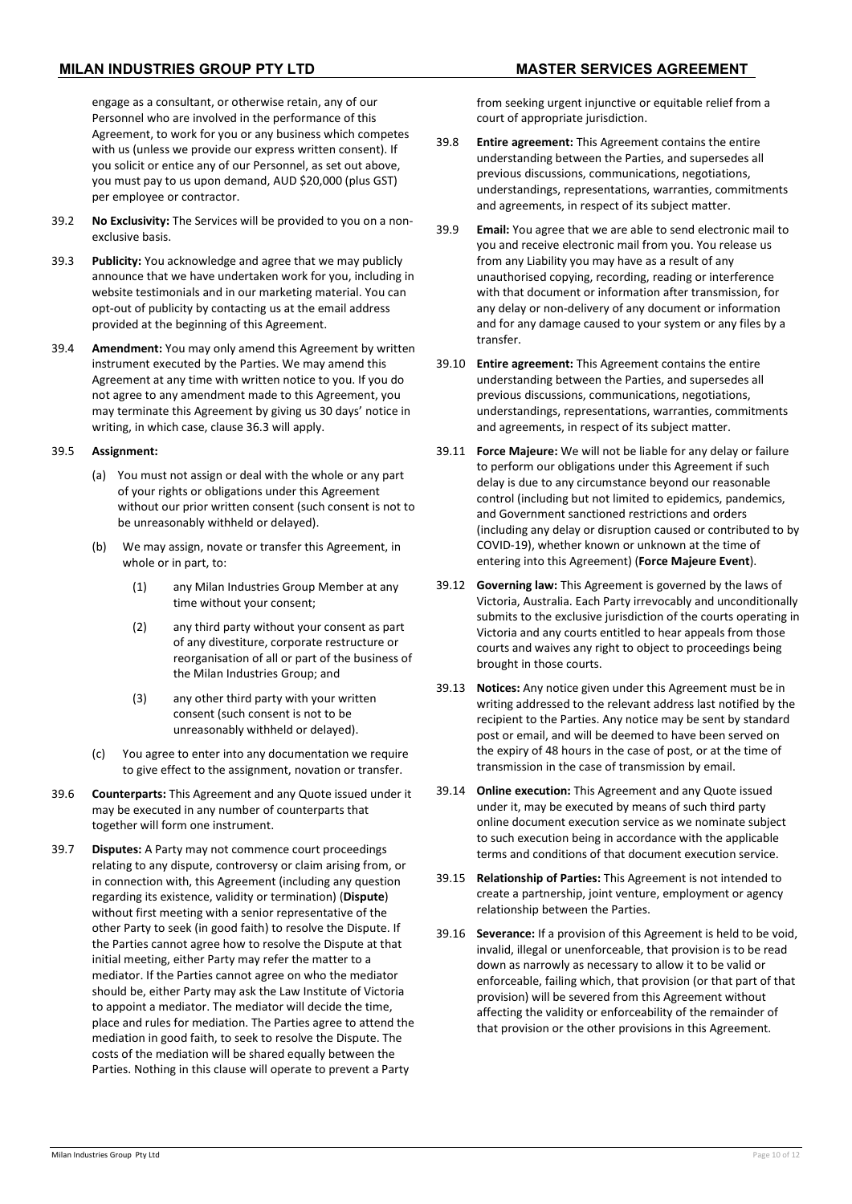engage as a consultant, or otherwise retain, any of our Personnel who are involved in the performance of this Agreement, to work for you or any business which competes with us (unless we provide our express written consent). If you solicit or entice any of our Personnel, as set out above, you must pay to us upon demand, AUD \$20,000 (plus GST) per employee or contractor.

- 39.2 **No Exclusivity:** The Services will be provided to you on a nonexclusive basis.
- 39.3 **Publicity:** You acknowledge and agree that we may publicly announce that we have undertaken work for you, including in website testimonials and in our marketing material. You can opt-out of publicity by contacting us at the email address provided at the beginning of this Agreement.
- 39.4 **Amendment:** You may only amend this Agreement by written instrument executed by the Parties. We may amend this Agreement at any time with written notice to you. If you do not agree to any amendment made to this Agreement, you may terminate this Agreement by giving us 30 days' notice in writing, in which case, claus[e 36.3](#page-8-0) will apply.

### 39.5 **Assignment:**

- (a) You must not assign or deal with the whole or any part of your rights or obligations under this Agreement without our prior written consent (such consent is not to be unreasonably withheld or delayed).
- (b) We may assign, novate or transfer this Agreement, in whole or in part, to:
	- (1) any Milan Industries Group Member at any time without your consent;
	- (2) any third party without your consent as part of any divestiture, corporate restructure or reorganisation of all or part of the business of the Milan Industries Group; and
	- (3) any other third party with your written consent (such consent is not to be unreasonably withheld or delayed).
- (c) You agree to enter into any documentation we require to give effect to the assignment, novation or transfer.
- 39.6 **Counterparts:** This Agreement and any Quote issued under it may be executed in any number of counterparts that together will form one instrument.
- 39.7 **Disputes:** A Party may not commence court proceedings relating to any dispute, controversy or claim arising from, or in connection with, this Agreement (including any question regarding its existence, validity or termination) (**Dispute**) without first meeting with a senior representative of the other Party to seek (in good faith) to resolve the Dispute. If the Parties cannot agree how to resolve the Dispute at that initial meeting, either Party may refer the matter to a mediator. If the Parties cannot agree on who the mediator should be, either Party may ask the Law Institute of Victoria to appoint a mediator. The mediator will decide the time, place and rules for mediation. The Parties agree to attend the mediation in good faith, to seek to resolve the Dispute. The costs of the mediation will be shared equally between the Parties. Nothing in this clause will operate to prevent a Party

from seeking urgent injunctive or equitable relief from a court of appropriate jurisdiction.

- 39.8 **Entire agreement:** This Agreement contains the entire understanding between the Parties, and supersedes all previous discussions, communications, negotiations, understandings, representations, warranties, commitments and agreements, in respect of its subject matter.
- 39.9 **Email:** You agree that we are able to send electronic mail to you and receive electronic mail from you. You release us from any Liability you may have as a result of any unauthorised copying, recording, reading or interference with that document or information after transmission, for any delay or non-delivery of any document or information and for any damage caused to your system or any files by a transfer.
- 39.10 **Entire agreement:** This Agreement contains the entire understanding between the Parties, and supersedes all previous discussions, communications, negotiations, understandings, representations, warranties, commitments and agreements, in respect of its subject matter.
- <span id="page-9-0"></span>39.11 **Force Majeure:** We will not be liable for any delay or failure to perform our obligations under this Agreement if such delay is due to any circumstance beyond our reasonable control (including but not limited to epidemics, pandemics, and Government sanctioned restrictions and orders (including any delay or disruption caused or contributed to by COVID-19), whether known or unknown at the time of entering into this Agreement) (**Force Majeure Event**).
- 39.12 **Governing law:** This Agreement is governed by the laws of Victoria, Australia. Each Party irrevocably and unconditionally submits to the exclusive jurisdiction of the courts operating in Victoria and any courts entitled to hear appeals from those courts and waives any right to object to proceedings being brought in those courts.
- 39.13 **Notices:** Any notice given under this Agreement must be in writing addressed to the relevant address last notified by the recipient to the Parties. Any notice may be sent by standard post or email, and will be deemed to have been served on the expiry of 48 hours in the case of post, or at the time of transmission in the case of transmission by email.
- 39.14 **Online execution:** This Agreement and any Quote issued under it, may be executed by means of such third party online document execution service as we nominate subject to such execution being in accordance with the applicable terms and conditions of that document execution service.
- 39.15 **Relationship of Parties:** This Agreement is not intended to create a partnership, joint venture, employment or agency relationship between the Parties.
- 39.16 **Severance:** If a provision of this Agreement is held to be void, invalid, illegal or unenforceable, that provision is to be read down as narrowly as necessary to allow it to be valid or enforceable, failing which, that provision (or that part of that provision) will be severed from this Agreement without affecting the validity or enforceability of the remainder of that provision or the other provisions in this Agreement.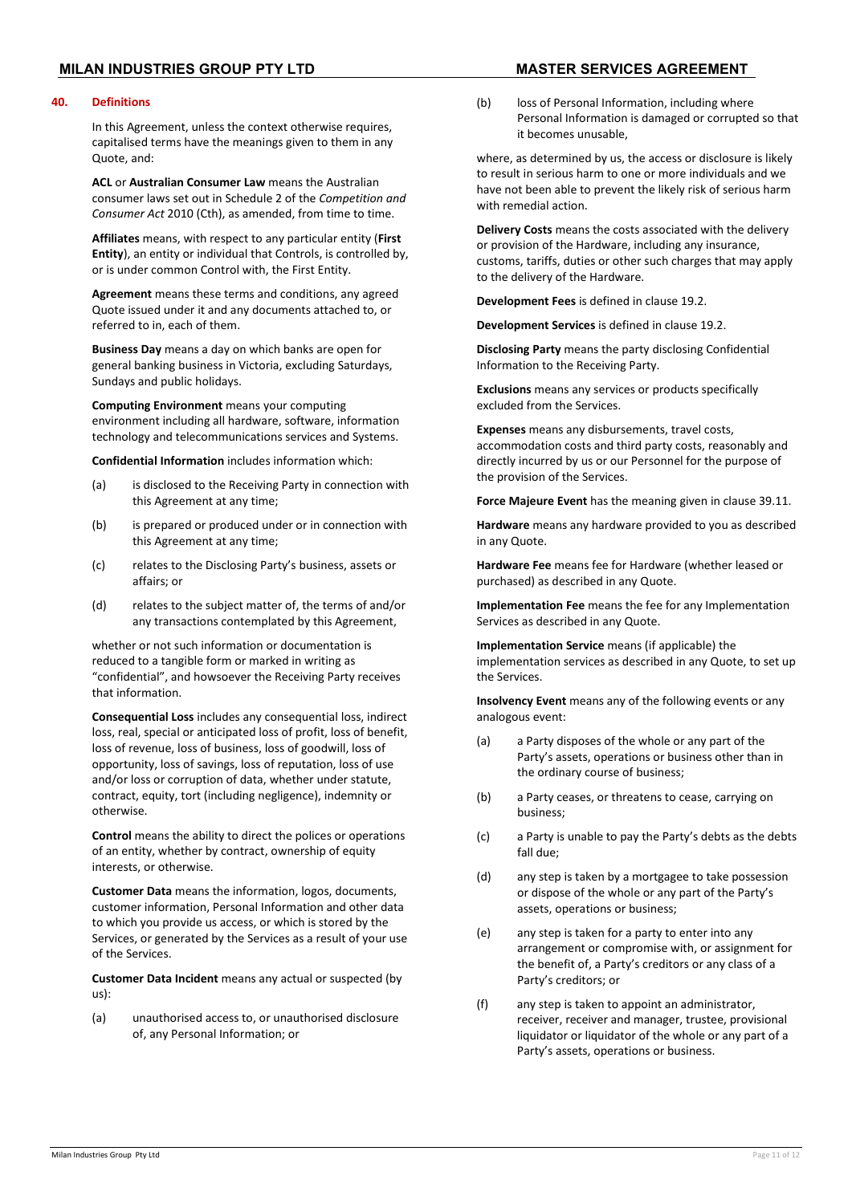# **MILAN INDUSTRIES GROUP PTY LTD MASTER SERVICES AGREEMENT**

#### **40. Definitions**

In this Agreement, unless the context otherwise requires, capitalised terms have the meanings given to them in any Quote, and:

**ACL** or **Australian Consumer Law** means the Australian consumer laws set out in Schedule 2 of the *Competition and Consumer Act* 2010 (Cth), as amended, from time to time.

**Affiliates** means, with respect to any particular entity (**First Entity**), an entity or individual that Controls, is controlled by, or is under common Control with, the First Entity.

**Agreement** means these terms and conditions, any agreed Quote issued under it and any documents attached to, or referred to in, each of them.

**Business Day** means a day on which banks are open for general banking business in Victoria, excluding Saturdays, Sundays and public holidays.

**Computing Environment** means your computing environment including all hardware, software, information technology and telecommunications services and Systems.

**Confidential Information** includes information which:

- (a) is disclosed to the Receiving Party in connection with this Agreement at any time;
- (b) is prepared or produced under or in connection with this Agreement at any time;
- (c) relates to the Disclosing Party's business, assets or affairs; or
- (d) relates to the subject matter of, the terms of and/or any transactions contemplated by this Agreement,

whether or not such information or documentation is reduced to a tangible form or marked in writing as "confidential", and howsoever the Receiving Party receives that information.

**Consequential Loss** includes any consequential loss, indirect loss, real, special or anticipated loss of profit, loss of benefit, loss of revenue, loss of business, loss of goodwill, loss of opportunity, loss of savings, loss of reputation, loss of use and/or loss or corruption of data, whether under statute, contract, equity, tort (including negligence), indemnity or otherwise.

**Control** means the ability to direct the polices or operations of an entity, whether by contract, ownership of equity interests, or otherwise.

**Customer Data** means the information, logos, documents, customer information, Personal Information and other data to which you provide us access, or which is stored by the Services, or generated by the Services as a result of your use of the Services.

**Customer Data Incident** means any actual or suspected (by us):

(a) unauthorised access to, or unauthorised disclosure of, any Personal Information; or

- 
- (b) loss of Personal Information, including where Personal Information is damaged or corrupted so that it becomes unusable,

where, as determined by us, the access or disclosure is likely to result in serious harm to one or more individuals and we have not been able to prevent the likely risk of serious harm with remedial action.

**Delivery Costs** means the costs associated with the delivery or provision of the Hardware, including any insurance, customs, tariffs, duties or other such charges that may apply to the delivery of the Hardware.

**Development Fees** is defined in clause [19.2.](#page-3-1)

**Development Services** is defined in claus[e 19.2.](#page-3-1)

**Disclosing Party** means the party disclosing Confidential Information to the Receiving Party.

**Exclusions** means any services or products specifically excluded from the Services.

**Expenses** means any disbursements, travel costs, accommodation costs and third party costs, reasonably and directly incurred by us or our Personnel for the purpose of the provision of the Services.

**Force Majeure Event** has the meaning given in clause [39.11.](#page-9-0)

**Hardware** means any hardware provided to you as described in any Quote.

**Hardware Fee** means fee for Hardware (whether leased or purchased) as described in any Quote.

**Implementation Fee** means the fee for any Implementation Services as described in any Quote.

**Implementation Service** means (if applicable) the implementation services as described in any Quote, to set up the Services.

**Insolvency Event** means any of the following events or any analogous event:

- (a) a Party disposes of the whole or any part of the Party's assets, operations or business other than in the ordinary course of business;
- (b) a Party ceases, or threatens to cease, carrying on business;
- (c) a Party is unable to pay the Party's debts as the debts fall due;
- (d) any step is taken by a mortgagee to take possession or dispose of the whole or any part of the Party's assets, operations or business;
- (e) any step is taken for a party to enter into any arrangement or compromise with, or assignment for the benefit of, a Party's creditors or any class of a Party's creditors; or
- (f) any step is taken to appoint an administrator, receiver, receiver and manager, trustee, provisional liquidator or liquidator of the whole or any part of a Party's assets, operations or business.